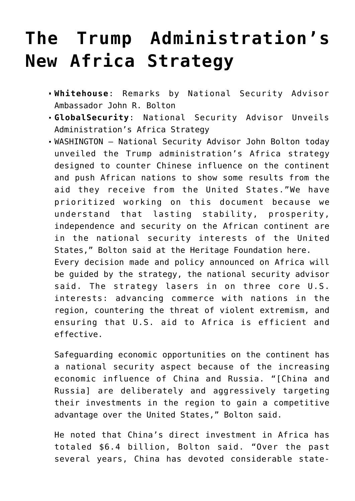## **[The Trump Administration's](https://the.greedy.moneymonarchy.international/tl-announcement/the-trump-administrations-new-africa-strategy/) [New Africa Strategy](https://the.greedy.moneymonarchy.international/tl-announcement/the-trump-administrations-new-africa-strategy/)**

- **Whitehouse**: [Remarks by National Security Advisor](https://www.whitehouse.gov/briefings-statements/remarks-national-security-advisor-ambassador-john-r-bolton-trump-administrations-new-africa-strategy/) [Ambassador John R. Bolton](https://www.whitehouse.gov/briefings-statements/remarks-national-security-advisor-ambassador-john-r-bolton-trump-administrations-new-africa-strategy/)
- **GlobalSecurity**: [National Security Advisor Unveils](https://www.globalsecurity.org/military/library/news/2018/12/mil-181213-afps01.htm?_m=3n%252e002a%252e2449%252eut0ao0dotq%252e2962) [Administration's Africa Strategy](https://www.globalsecurity.org/military/library/news/2018/12/mil-181213-afps01.htm?_m=3n%252e002a%252e2449%252eut0ao0dotq%252e2962)
- WASHINGTON National Security Advisor John Bolton today unveiled the Trump administration's Africa strategy designed to counter Chinese influence on the continent and push African nations to show some results from the aid they receive from the United States."We have prioritized working on this document because we understand that lasting stability, prosperity, independence and security on the African continent are in the national security interests of the United States," Bolton said at the Heritage Foundation here. Every decision made and policy announced on Africa will be guided by the strategy, the national security advisor said. The strategy lasers in on three core U.S. interests: advancing commerce with nations in the region, countering the threat of violent extremism, and ensuring that U.S. aid to Africa is efficient and effective.

Safeguarding economic opportunities on the continent has a national security aspect because of the increasing economic influence of China and Russia. "[China and Russia] are deliberately and aggressively targeting their investments in the region to gain a competitive advantage over the United States," Bolton said.

He noted that China's direct investment in Africa has totaled \$6.4 billion, Bolton said. "Over the past several years, China has devoted considerable state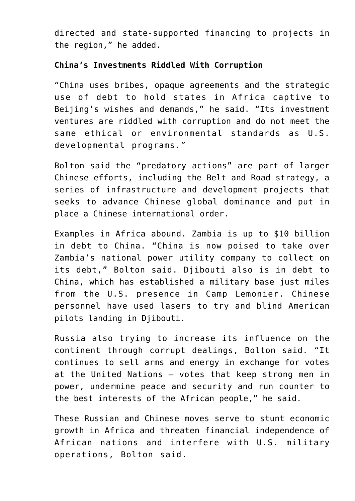directed and state-supported financing to projects in the region," he added.

## **China's Investments Riddled With Corruption**

"China uses bribes, opaque agreements and the strategic use of debt to hold states in Africa captive to Beijing's wishes and demands," he said. "Its investment ventures are riddled with corruption and do not meet the same ethical or environmental standards as U.S. developmental programs."

Bolton said the "predatory actions" are part of larger Chinese efforts, including the Belt and Road strategy, a series of infrastructure and development projects that seeks to advance Chinese global dominance and put in place a Chinese international order.

Examples in Africa abound. Zambia is up to \$10 billion in debt to China. "China is now poised to take over Zambia's national power utility company to collect on its debt," Bolton said. Djibouti also is in debt to China, which has established a military base just miles from the U.S. presence in Camp Lemonier. Chinese personnel have used lasers to try and blind American pilots landing in Djibouti.

Russia also trying to increase its influence on the continent through corrupt dealings, Bolton said. "It continues to sell arms and energy in exchange for votes at the United Nations – votes that keep strong men in power, undermine peace and security and run counter to the best interests of the African people," he said.

These Russian and Chinese moves serve to stunt economic growth in Africa and threaten financial independence of African nations and interfere with U.S. military operations, Bolton said.